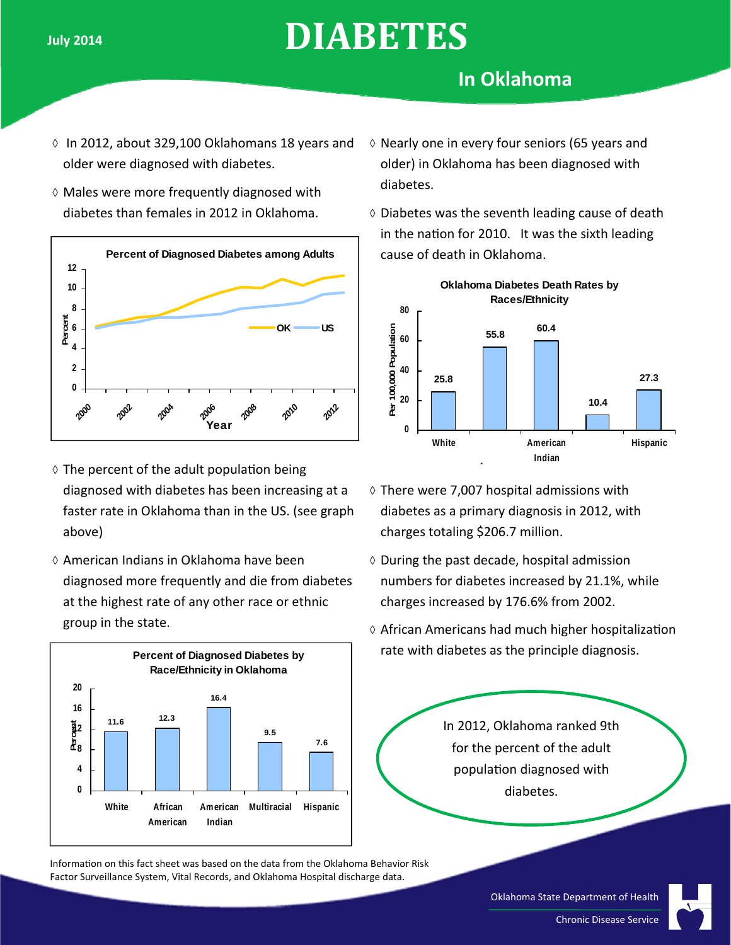# **DIABETES**

## **In Oklahoma**

- $\lozenge$  In 2012, about 329,100 Oklahomans 18 years and older were diagnosed with diabetes.
- $\diamond$  Males were more frequently diagnosed with diabetes than females in 2012 in Oklahoma.



- $\diamond$  The percent of the adult population being diagnosed with diabetes has been increasing at a faster rate in Oklahoma than in the US. (see graph above)
- $\Diamond$  American Indians in Oklahoma have been diagnosed more frequently and die from diabetes at the highest rate of any other race or ethnic group in the state.



InformaƟon on this fact sheet was based on the data from the Oklahoma Behavior Risk Factor Surveillance System, Vital Records, and Oklahoma Hospital discharge data.

- $\diamond$  Nearly one in every four seniors (65 years and older) in Oklahoma has been diagnosed with diabetes.
- $\diamond$  Diabetes was the seventh leading cause of death in the nation for 2010. It was the sixth leading cause of death in Oklahoma.



**Oklahoma Diabetes Death Rates by Races/Ethnicity**

- $\Diamond$  There were 7,007 hospital admissions with diabetes as a primary diagnosis in 2012, with charges totaling \$206.7 million.
- $\Diamond$  During the past decade, hospital admission numbers for diabetes increased by 21.1%, while charges increased by 176.6% from 2002.
- $\Diamond$  African Americans had much higher hospitalization rate with diabetes as the principle diagnosis.

In 2012, Oklahoma ranked 9th for the percent of the adult population diagnosed with diabetes.

Oklahoma State Department of Health



Chronic Disease Service